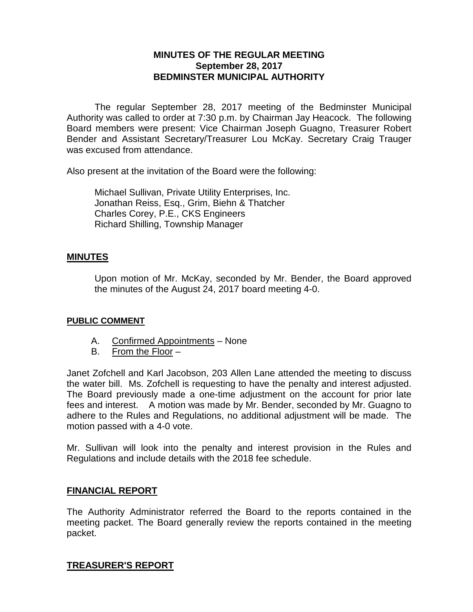# **MINUTES OF THE REGULAR MEETING September 28, 2017 BEDMINSTER MUNICIPAL AUTHORITY**

The regular September 28, 2017 meeting of the Bedminster Municipal Authority was called to order at 7:30 p.m. by Chairman Jay Heacock. The following Board members were present: Vice Chairman Joseph Guagno, Treasurer Robert Bender and Assistant Secretary/Treasurer Lou McKay. Secretary Craig Trauger was excused from attendance.

Also present at the invitation of the Board were the following:

Michael Sullivan, Private Utility Enterprises, Inc. Jonathan Reiss, Esq., Grim, Biehn & Thatcher Charles Corey, P.E., CKS Engineers Richard Shilling, Township Manager

### **MINUTES**

Upon motion of Mr. McKay, seconded by Mr. Bender, the Board approved the minutes of the August 24, 2017 board meeting 4-0.

#### **PUBLIC COMMENT**

- A. Confirmed Appointments None
- B. From the Floor –

Janet Zofchell and Karl Jacobson, 203 Allen Lane attended the meeting to discuss the water bill. Ms. Zofchell is requesting to have the penalty and interest adjusted. The Board previously made a one-time adjustment on the account for prior late fees and interest. A motion was made by Mr. Bender, seconded by Mr. Guagno to adhere to the Rules and Regulations, no additional adjustment will be made. The motion passed with a 4-0 vote.

Mr. Sullivan will look into the penalty and interest provision in the Rules and Regulations and include details with the 2018 fee schedule.

## **FINANCIAL REPORT**

The Authority Administrator referred the Board to the reports contained in the meeting packet. The Board generally review the reports contained in the meeting packet.

# **TREASURER'S REPORT**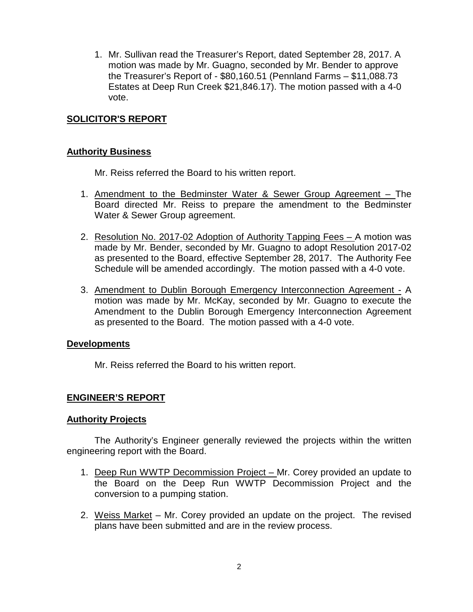1. Mr. Sullivan read the Treasurer's Report, dated September 28, 2017. A motion was made by Mr. Guagno, seconded by Mr. Bender to approve the Treasurer's Report of - \$80,160.51 (Pennland Farms – \$11,088.73 Estates at Deep Run Creek \$21,846.17). The motion passed with a 4-0 vote.

## **SOLICITOR'S REPORT**

#### **Authority Business**

Mr. Reiss referred the Board to his written report.

- 1. Amendment to the Bedminster Water & Sewer Group Agreement The Board directed Mr. Reiss to prepare the amendment to the Bedminster Water & Sewer Group agreement.
- 2. Resolution No. 2017-02 Adoption of Authority Tapping Fees A motion was made by Mr. Bender, seconded by Mr. Guagno to adopt Resolution 2017-02 as presented to the Board, effective September 28, 2017. The Authority Fee Schedule will be amended accordingly. The motion passed with a 4-0 vote.
- 3. Amendment to Dublin Borough Emergency Interconnection Agreement A motion was made by Mr. McKay, seconded by Mr. Guagno to execute the Amendment to the Dublin Borough Emergency Interconnection Agreement as presented to the Board. The motion passed with a 4-0 vote.

#### **Developments**

Mr. Reiss referred the Board to his written report.

#### **ENGINEER'S REPORT**

#### **Authority Projects**

The Authority's Engineer generally reviewed the projects within the written engineering report with the Board.

- 1. Deep Run WWTP Decommission Project Mr. Corey provided an update to the Board on the Deep Run WWTP Decommission Project and the conversion to a pumping station.
- 2. Weiss Market Mr. Corey provided an update on the project. The revised plans have been submitted and are in the review process.